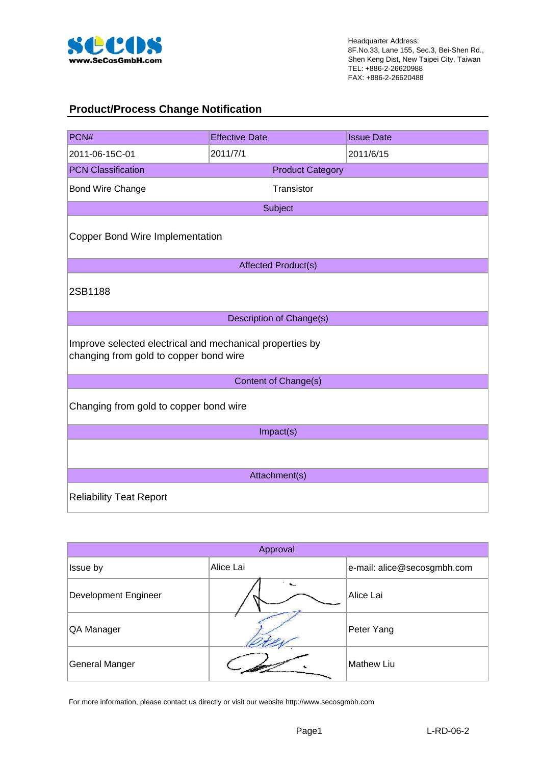

#### **Product/Process Change Notification**

| PCN#                                                                                               | <b>Effective Date</b> |                            | <b>Issue Date</b> |  |  |  |  |  |  |
|----------------------------------------------------------------------------------------------------|-----------------------|----------------------------|-------------------|--|--|--|--|--|--|
| 2011-06-15C-01                                                                                     | 2011/7/1              |                            | 2011/6/15         |  |  |  |  |  |  |
| <b>PCN Classification</b>                                                                          |                       | <b>Product Category</b>    |                   |  |  |  |  |  |  |
| Bond Wire Change                                                                                   |                       | Transistor                 |                   |  |  |  |  |  |  |
|                                                                                                    |                       | Subject                    |                   |  |  |  |  |  |  |
| <b>Copper Bond Wire Implementation</b>                                                             |                       |                            |                   |  |  |  |  |  |  |
|                                                                                                    |                       | <b>Affected Product(s)</b> |                   |  |  |  |  |  |  |
| 2SB1188                                                                                            |                       |                            |                   |  |  |  |  |  |  |
|                                                                                                    |                       | Description of Change(s)   |                   |  |  |  |  |  |  |
| Improve selected electrical and mechanical properties by<br>changing from gold to copper bond wire |                       |                            |                   |  |  |  |  |  |  |
|                                                                                                    |                       | Content of Change(s)       |                   |  |  |  |  |  |  |
| Changing from gold to copper bond wire                                                             |                       |                            |                   |  |  |  |  |  |  |
|                                                                                                    |                       | Impact(s)                  |                   |  |  |  |  |  |  |
|                                                                                                    |                       |                            |                   |  |  |  |  |  |  |
|                                                                                                    |                       | Attachment(s)              |                   |  |  |  |  |  |  |
| <b>Reliability Teat Report</b>                                                                     |                       |                            |                   |  |  |  |  |  |  |

| Approval             |           |                             |  |  |  |  |  |  |
|----------------------|-----------|-----------------------------|--|--|--|--|--|--|
| Issue by             | Alice Lai | e-mail: alice@secosgmbh.com |  |  |  |  |  |  |
| Development Engineer |           | Alice Lai                   |  |  |  |  |  |  |
| QA Manager           |           | Peter Yang                  |  |  |  |  |  |  |
| General Manger       |           | Mathew Liu                  |  |  |  |  |  |  |

For more information, please contact us directly or visit our website http://www.secosgmbh.com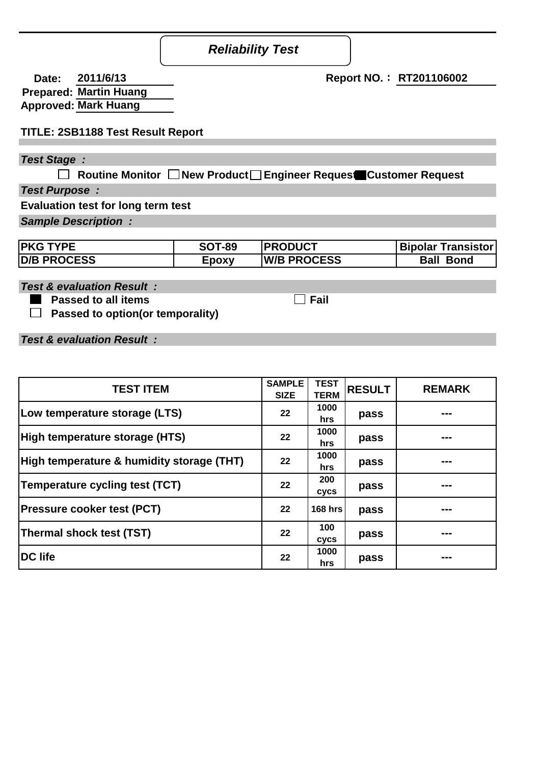### **Reliability Test Report**

| <b>Date:</b> | 2011/6/13                     |
|--------------|-------------------------------|
|              | <b>Prepared: Martin Huang</b> |
|              | <b>Approved: Mark Huang</b>   |

#### **TITLE: 2SB1188 Test Result Report**

#### **Test Stage :**

**Routine Monitor New Product Engineer Request Customer Request**

**Test Purpose :**

**Evaluation test for long term test**

**Sample Description :**

| <b>PKG TYPE</b>    | <b>SOT-89</b> | <b>IPRODUCT</b>    | Bipolar Transistor |
|--------------------|---------------|--------------------|--------------------|
| <b>D/B PROCESS</b> | ⊆poxv         | <b>W/B PROCESS</b> | <b>Ball Bond</b>   |

**Test & evaluation Result :**

 **Passed to all items**  $\Box$  Fail

 **Passed to option(or temporality)**

**Test & evaluation Result :**

| <b>TEST ITEM</b>                          |    | <b>TEST</b><br><b>TERM</b> | <b>RESULT</b> | <b>REMARK</b> |
|-------------------------------------------|----|----------------------------|---------------|---------------|
| Low temperature storage (LTS)             | 22 | 1000<br>hrs                | pass          | ---           |
| High temperature storage (HTS)            | 22 | 1000<br>hrs                | pass          | ---           |
| High temperature & humidity storage (THT) | 22 | 1000<br>hrs                | pass          | ---           |
| Temperature cycling test (TCT)            | 22 | 200<br>cycs                | pass          | ---           |
| <b>Pressure cooker test (PCT)</b>         | 22 | <b>168 hrs</b>             | pass          | ---           |
| Thermal shock test (TST)                  | 22 | 100<br>cycs                | pass          | ---           |
| <b>DC</b> life                            | 22 | 1000<br>hrs                | pass          | ---           |

**2011/6/13 Report NO.**: **RT201106002**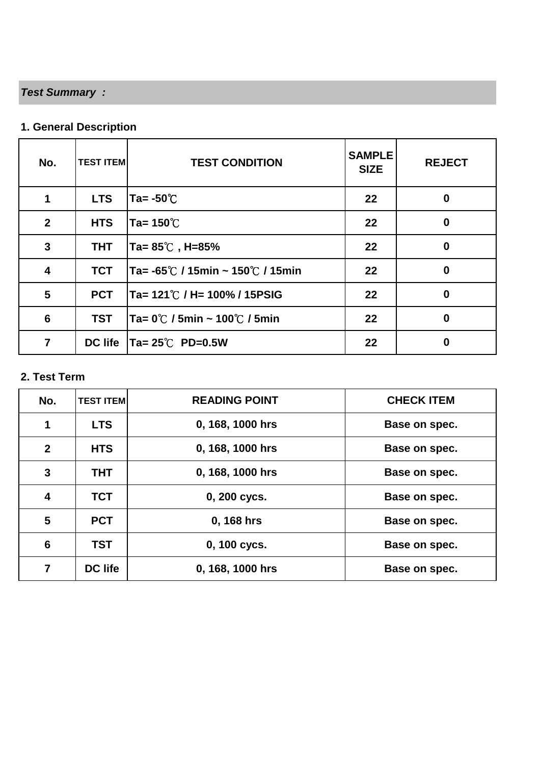# **Test Summary :**

## **1. General Description**

| No.                     | <b>TEST ITEM</b> | <b>TEST CONDITION</b>              | <b>SAMPLE</b><br><b>SIZE</b> | <b>REJECT</b> |
|-------------------------|------------------|------------------------------------|------------------------------|---------------|
| 1                       | <b>LTS</b>       | Ta= $-50^{\circ}$ C                | 22                           | $\bf{0}$      |
| $\overline{2}$          | <b>HTS</b>       | Ta= $150^{\circ}$ C                | 22                           | $\bf{0}$      |
| $\mathbf{3}$            | <b>THT</b>       | Ta= 85℃,H=85%                      | 22                           | $\bf{0}$      |
| $\overline{\mathbf{4}}$ | <b>TCT</b>       | Ta= -65℃ / 15min ~ 150℃ / 15min    | 22                           | $\bf{0}$      |
| $5\phantom{.}$          | <b>PCT</b>       | Ta= 121℃ / H= 100% / 15PSIG        | 22                           | $\bf{0}$      |
| 6                       | <b>TST</b>       | Ta= 0℃ / 5min ~ 100℃ / 5min        | $22 \,$                      | $\bf{0}$      |
| $\overline{7}$          |                  | DC life $Ta = 25^{\circ}C$ PD=0.5W | 22                           | 0             |

#### **2. Test Term**

| No.                     | <b>TEST ITEM</b> | <b>READING POINT</b> | <b>CHECK ITEM</b> |
|-------------------------|------------------|----------------------|-------------------|
| 1                       | <b>LTS</b>       | 0, 168, 1000 hrs     | Base on spec.     |
| $\mathbf{2}$            | <b>HTS</b>       | 0, 168, 1000 hrs     | Base on spec.     |
| 3                       | <b>THT</b>       | 0, 168, 1000 hrs     | Base on spec.     |
| $\overline{\mathbf{4}}$ | <b>TCT</b>       | 0, 200 cycs.         | Base on spec.     |
| 5                       | <b>PCT</b>       | 0, 168 hrs           | Base on spec.     |
| $6\phantom{1}6$         | <b>TST</b>       | 0, 100 cycs.         | Base on spec.     |
| 7                       | <b>DC life</b>   | 0, 168, 1000 hrs     | Base on spec.     |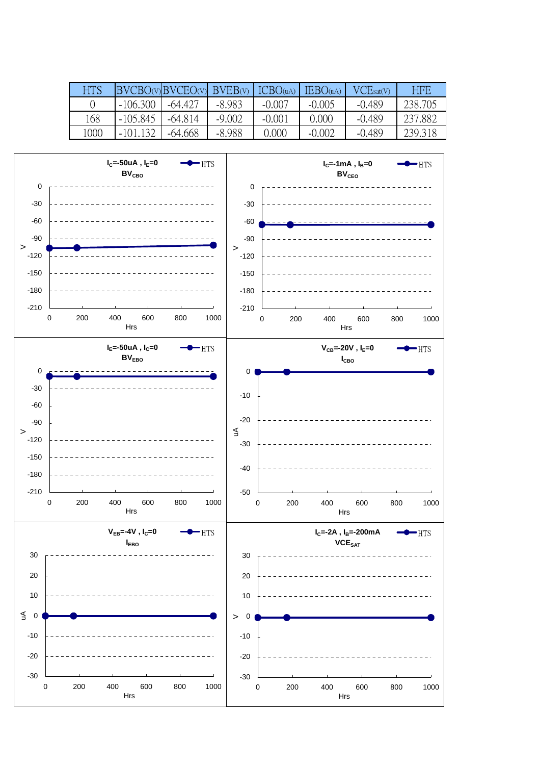| <b>HTS</b> | BVCBO(v) BVCEO(v) BVEB(v) |           |          | ICBO(uA) | IEBO(uA) | VCE <sub>sat(V)</sub> | HEE     |
|------------|---------------------------|-----------|----------|----------|----------|-----------------------|---------|
|            | $-106,300$                | $-64.427$ | -8.983   | $-0.007$ | $-0.005$ | $-0.489$              | 238.705 |
| 168        | $-105.845$                | $-64.814$ | $-9.002$ | $-0.001$ | 0.000    | $-0.489$              | 237.882 |
| 1000       | $-101.132$                | $-64.668$ | $-8.988$ | 0.000    | $-0.002$ | $-0.489$              | 239.318 |

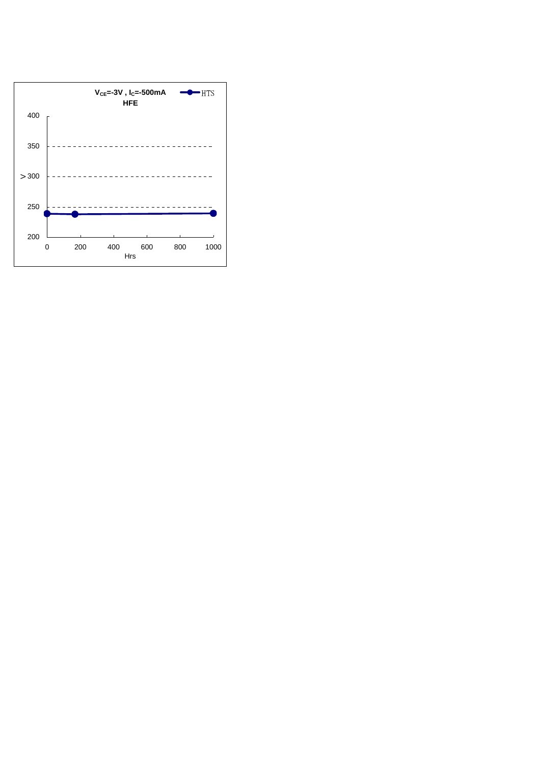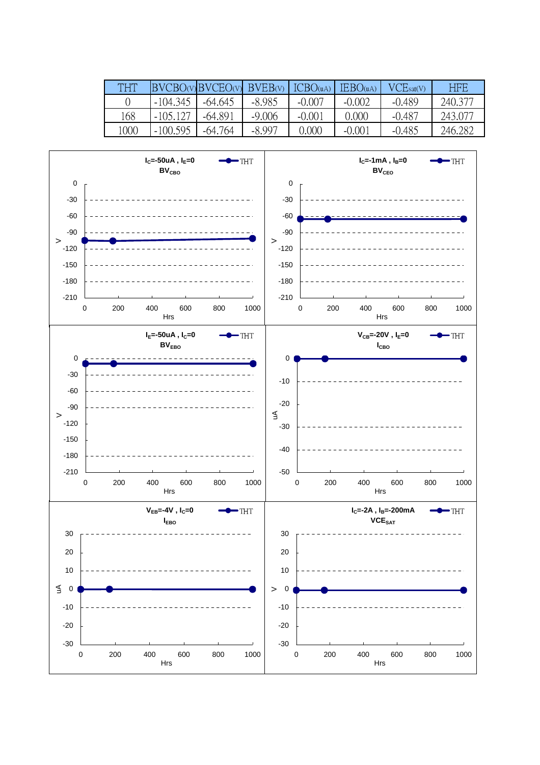| <b>THT</b> |            | BVCBO(v)BVCEO(v) BVEB(v) |          | ICBO <sub>(uA)</sub> | IEBO(uA) | VCEsat(V) | HEB     |
|------------|------------|--------------------------|----------|----------------------|----------|-----------|---------|
|            | $-104.345$ | $-64.645$                | $-8.985$ | $-0.007$             | $-0.002$ | $-0.489$  | 240,377 |
| 168        | -105 127   | -64.891                  | $-9.006$ | $-0.001$             | 0.000    | $-0.487$  | 243,077 |
| 1000       | $-100.595$ | -64.764                  | $-8.997$ | 0.000                | $-0.001$ | $-0.485$  | 246.282 |

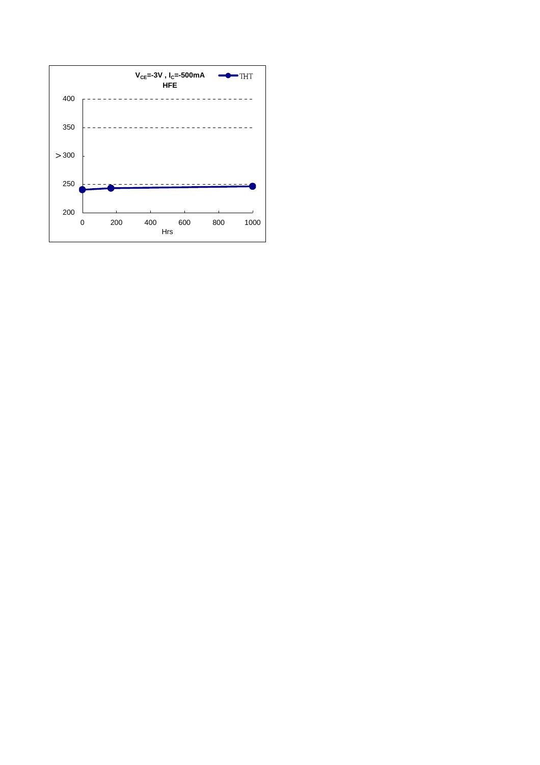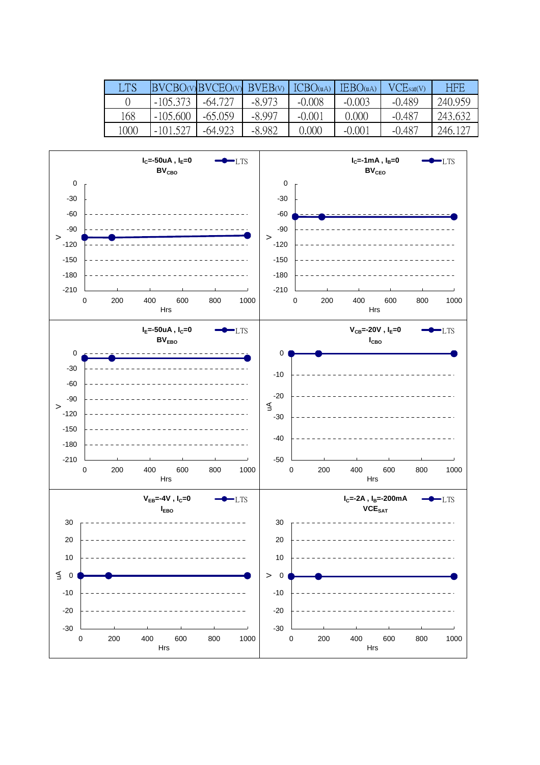| LTS  |            | BVCBO(v)BVCEO(v) | $BVEB(V)$ $ICBO(uA)$ |          | IEBO(uA) | VCEsat(V) | HEE     |
|------|------------|------------------|----------------------|----------|----------|-----------|---------|
|      | $-105.373$ | -64.727          | $-8.973$             | $-0.008$ | $-0.003$ | $-0.489$  | 240.959 |
| 168  | $-105,600$ | $-65.059$        | $-8.997$             | $-0.001$ | 0.000    | $-0.487$  | 243.632 |
| 1000 | $-101.527$ | $-64.923$        | $-8.982$             | 0.000    | $-0.001$ | $-0.487$  | 246.127 |

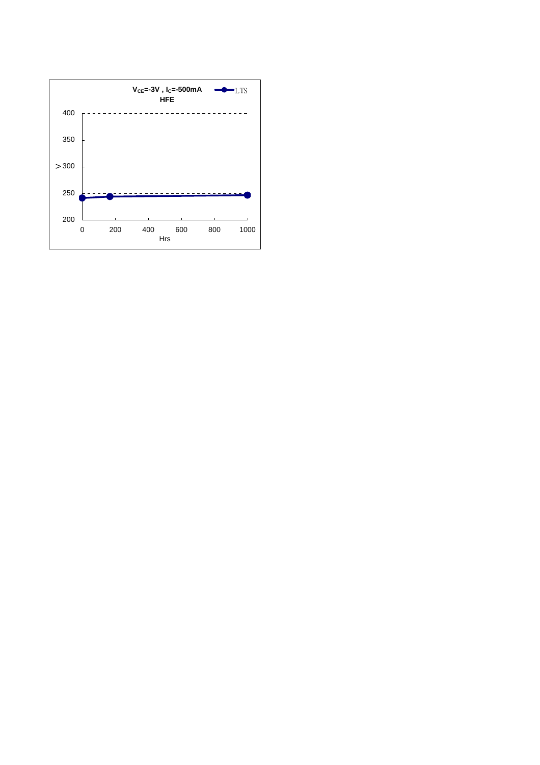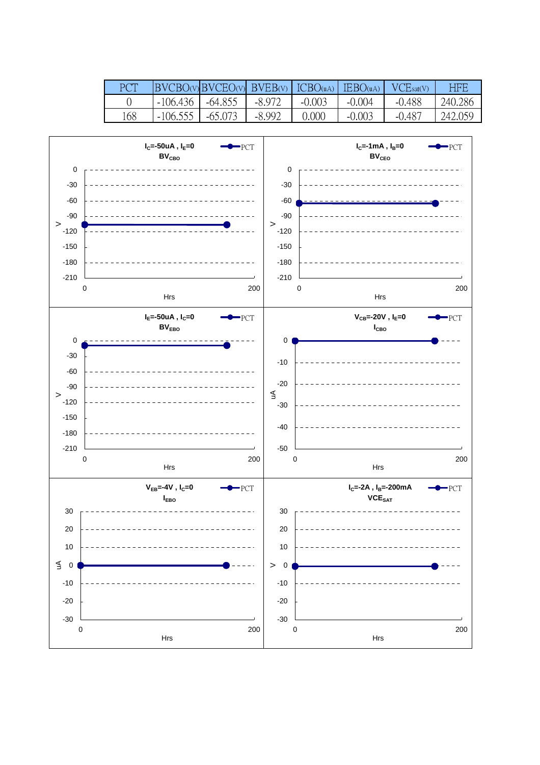| PCT | $BVCBO(v)$ $BVCEO(v)$ $BVEB(v)$ $ICBO(uA)$ |           |          |          | $\text{IEBO}(uA)$ | VCEsat(V) | HBB     |
|-----|--------------------------------------------|-----------|----------|----------|-------------------|-----------|---------|
|     | $-106.436$                                 | $-64.855$ | $-8.972$ | $-0.003$ | $-0.004$          | $-0.488$  | 240.286 |
| 168 | $-106.555$                                 | -65.073   | -8.992   | 0.000    | $-0.003$          | $-0.487$  | 242.059 |

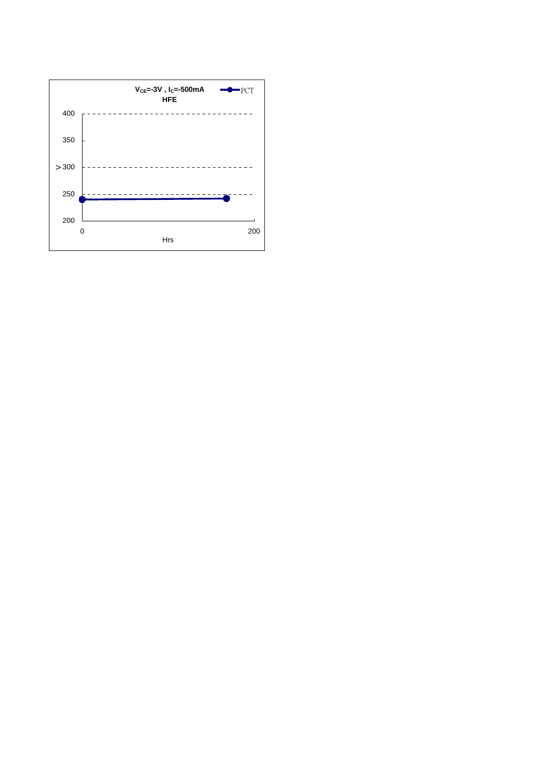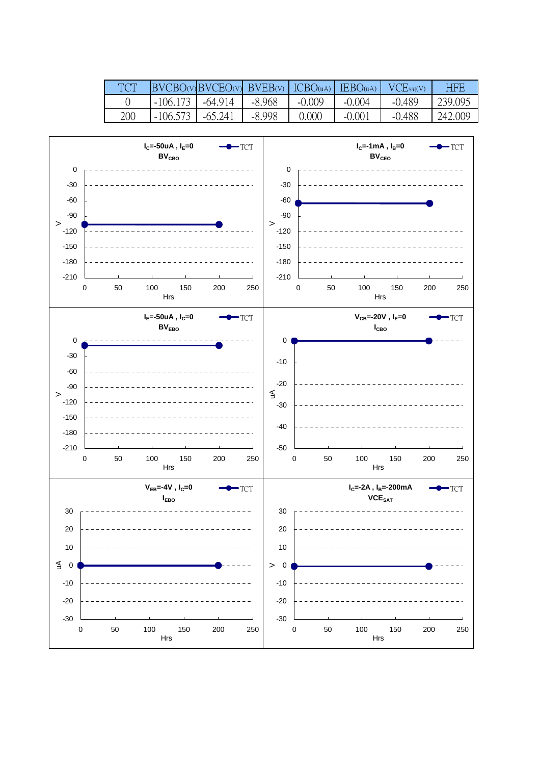|     |            | $BVCBO(v)BVCEO(v)$ $BVEB(v)$ $ICBO(uA)$ $IEBO(uA)$ |          |          |          | VCEsat(V) | HBB     |
|-----|------------|----------------------------------------------------|----------|----------|----------|-----------|---------|
|     | $-106.173$ | -64.914                                            | $-8.968$ | $-0.009$ | $-0.004$ | $-0.489$  | 239.095 |
| 200 | $-106.573$ | -65 241                                            | $-8.998$ | ).000    | $-0.001$ | $-0.488$  | 242.009 |

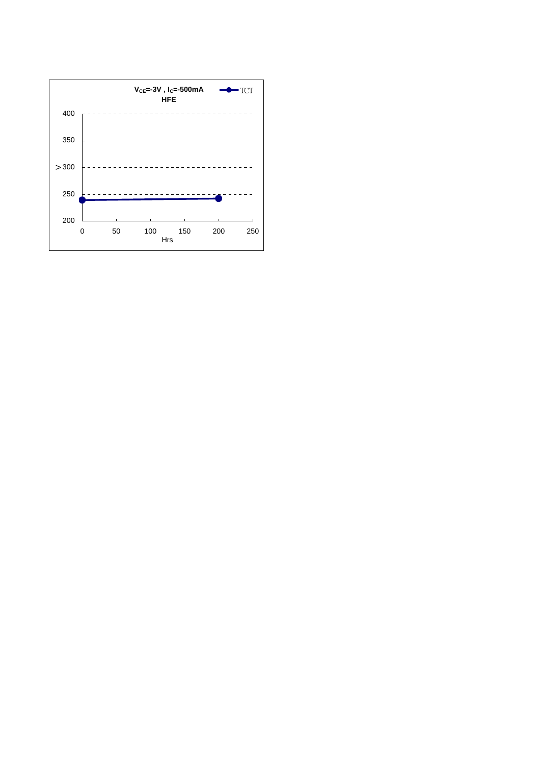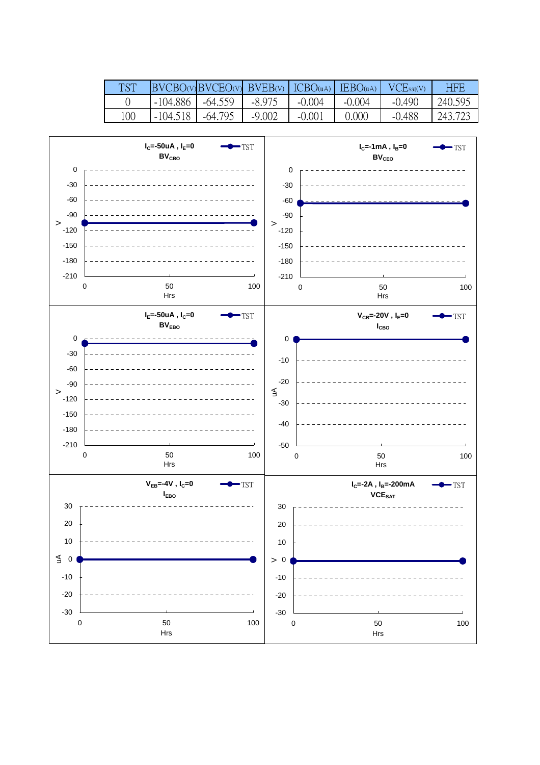| <b>TST</b> |            | $BVCBO(v)BVCEO(v)$ $BVEB(v)$ $ICBO(uA)$ $IEBO(uA)$ |          |          |          | VCEsat(V) | HBB     |
|------------|------------|----------------------------------------------------|----------|----------|----------|-----------|---------|
|            | -104.886   | -64.559                                            | $-8.975$ | $-0.004$ | $-0.004$ | $-0.490$  | 240.595 |
| 100        | $-104.518$ | $-64.795$                                          | $-9.002$ | $-0.001$ | 0.000    | $-0.488$  | 243.723 |

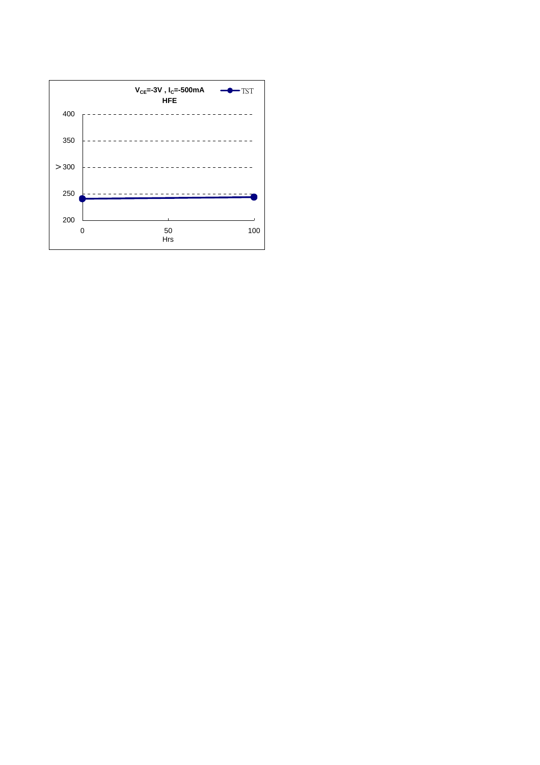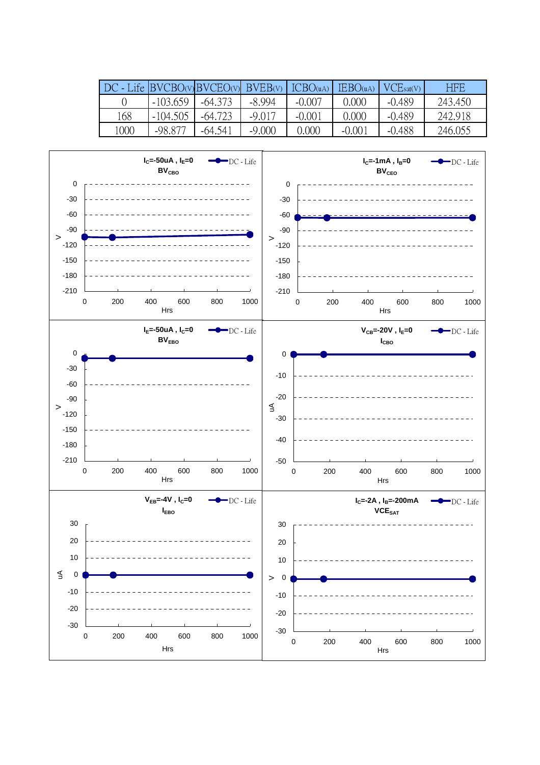| $DC$ - Life BVCBO(v) BVCEO(v) BVEB(v) ICBO(uA) |            |           |          |          | $\text{IEBO}(uA)$ | VCE <sub>sat(V)</sub> | HEE     |
|------------------------------------------------|------------|-----------|----------|----------|-------------------|-----------------------|---------|
|                                                | $-103.659$ | $-64.373$ | $-8.994$ | $-0.007$ | 0.000             | $-0.489$              | 243.450 |
| 168                                            | $-104.505$ | $-64.723$ | $-9.017$ | $-0.001$ | 0.000             | $-0.489$              | 242.918 |
| 1000                                           | -98 877    | $-64.541$ | $-9,000$ | 0.000    | $-0.001$          | $-0.488$              | 246.055 |